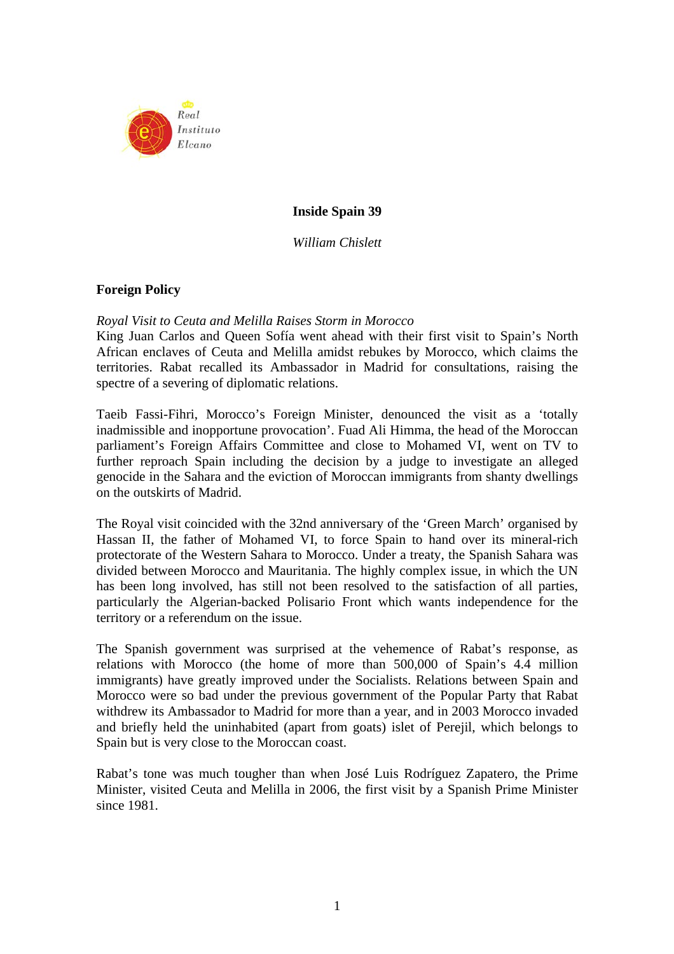

# **Inside Spain 39**

*William Chislett* 

### **Foreign Policy**

#### *Royal Visit to Ceuta and Melilla Raises Storm in Morocco*

King Juan Carlos and Queen Sofía went ahead with their first visit to Spain's North African enclaves of Ceuta and Melilla amidst rebukes by Morocco, which claims the territories. Rabat recalled its Ambassador in Madrid for consultations, raising the spectre of a severing of diplomatic relations.

Taeib Fassi-Fihri, Morocco's Foreign Minister, denounced the visit as a 'totally inadmissible and inopportune provocation'. Fuad Ali Himma, the head of the Moroccan parliament's Foreign Affairs Committee and close to Mohamed VI, went on TV to further reproach Spain including the decision by a judge to investigate an alleged genocide in the Sahara and the eviction of Moroccan immigrants from shanty dwellings on the outskirts of Madrid.

The Royal visit coincided with the 32nd anniversary of the 'Green March' organised by Hassan II, the father of Mohamed VI, to force Spain to hand over its mineral-rich protectorate of the Western Sahara to Morocco. Under a treaty, the Spanish Sahara was divided between Morocco and Mauritania. The highly complex issue, in which the UN has been long involved, has still not been resolved to the satisfaction of all parties, particularly the Algerian-backed Polisario Front which wants independence for the territory or a referendum on the issue.

The Spanish government was surprised at the vehemence of Rabat's response, as relations with Morocco (the home of more than 500,000 of Spain's 4.4 million immigrants) have greatly improved under the Socialists. Relations between Spain and Morocco were so bad under the previous government of the Popular Party that Rabat withdrew its Ambassador to Madrid for more than a year, and in 2003 Morocco invaded and briefly held the uninhabited (apart from goats) islet of Perejil, which belongs to Spain but is very close to the Moroccan coast.

Rabat's tone was much tougher than when José Luis Rodríguez Zapatero, the Prime Minister, visited Ceuta and Melilla in 2006, the first visit by a Spanish Prime Minister since 1981.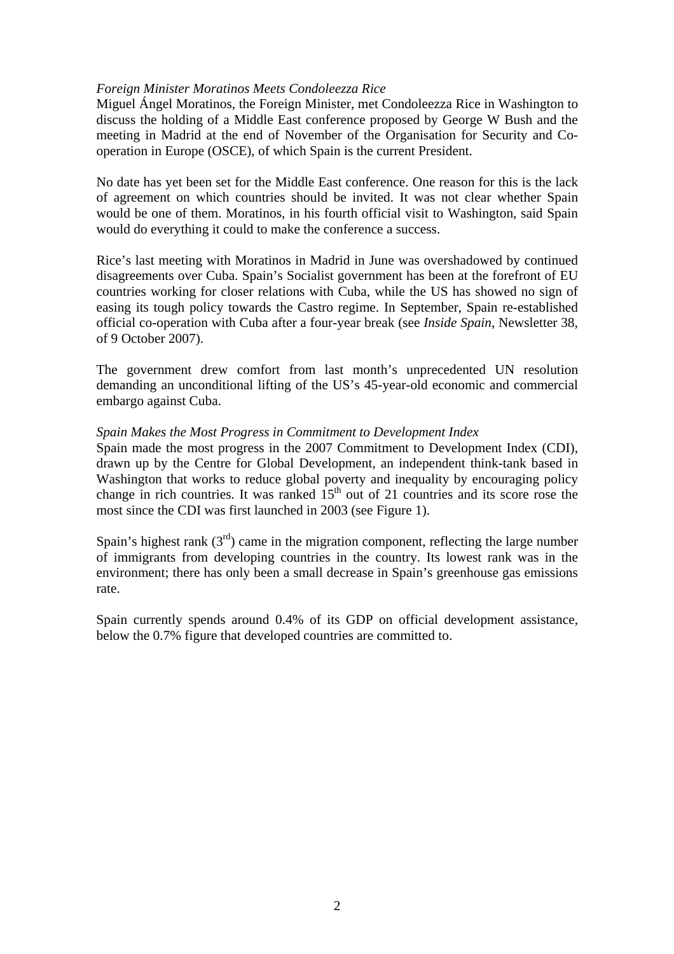### *Foreign Minister Moratinos Meets Condoleezza Rice*

Miguel Ángel Moratinos, the Foreign Minister, met Condoleezza Rice in Washington to discuss the holding of a Middle East conference proposed by George W Bush and the meeting in Madrid at the end of November of the Organisation for Security and Cooperation in Europe (OSCE), of which Spain is the current President.

No date has yet been set for the Middle East conference. One reason for this is the lack of agreement on which countries should be invited. It was not clear whether Spain would be one of them. Moratinos, in his fourth official visit to Washington, said Spain would do everything it could to make the conference a success.

Rice's last meeting with Moratinos in Madrid in June was overshadowed by continued disagreements over Cuba. Spain's Socialist government has been at the forefront of EU countries working for closer relations with Cuba, while the US has showed no sign of easing its tough policy towards the Castro regime. In September, Spain re-established official co-operation with Cuba after a four-year break (see *Inside Spain*, Newsletter 38, of 9 October 2007).

The government drew comfort from last month's unprecedented UN resolution demanding an unconditional lifting of the US's 45-year-old economic and commercial embargo against Cuba.

### *Spain Makes the Most Progress in Commitment to Development Index*

Spain made the most progress in the 2007 Commitment to Development Index (CDI), drawn up by the Centre for Global Development, an independent think-tank based in Washington that works to reduce global poverty and inequality by encouraging policy change in rich countries. It was ranked  $15<sup>th</sup>$  out of 21 countries and its score rose the most since the CDI was first launched in 2003 (see Figure 1).

Spain's highest rank  $(3<sup>rd</sup>)$  came in the migration component, reflecting the large number of immigrants from developing countries in the country. Its lowest rank was in the environment; there has only been a small decrease in Spain's greenhouse gas emissions rate.

Spain currently spends around 0.4% of its GDP on official development assistance, below the 0.7% figure that developed countries are committed to.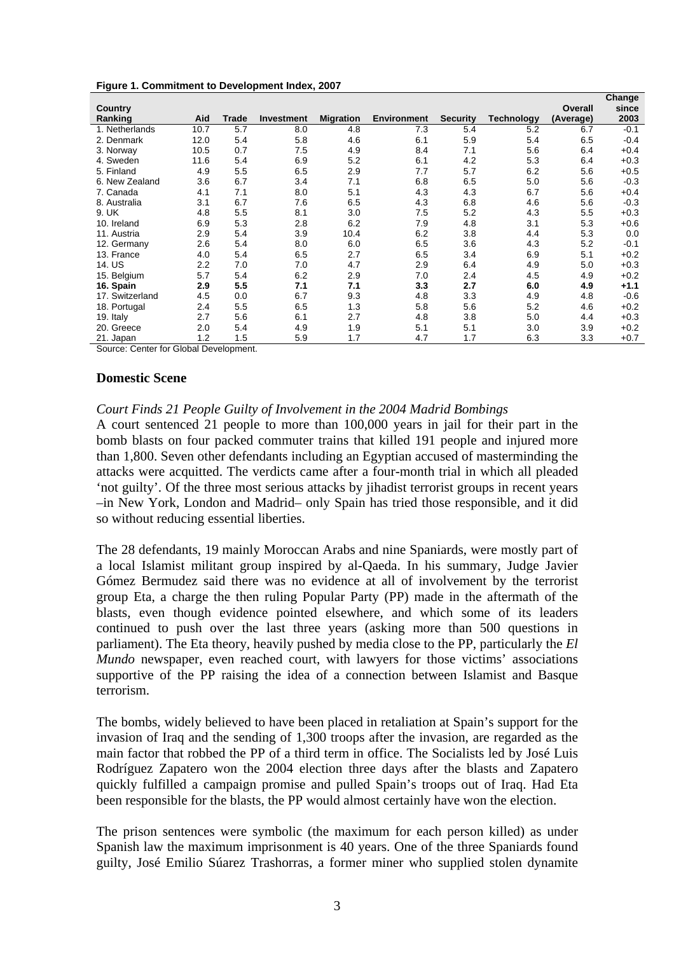|                 |      |       |            |                  |                    |                 |                   |           | Change |
|-----------------|------|-------|------------|------------------|--------------------|-----------------|-------------------|-----------|--------|
| Country         |      |       |            |                  |                    |                 |                   | Overall   | since  |
| Ranking         | Aid  | Trade | Investment | <b>Migration</b> | <b>Environment</b> | <b>Security</b> | <b>Technology</b> | (Average) | 2003   |
| 1. Netherlands  | 10.7 | 5.7   | 8.0        | 4.8              | 7.3                | 5.4             | 5.2               | 6.7       | $-0.1$ |
| 2. Denmark      | 12.0 | 5.4   | 5.8        | 4.6              | 6.1                | 5.9             | 5.4               | 6.5       | $-0.4$ |
| 3. Norway       | 10.5 | 0.7   | 7.5        | 4.9              | 8.4                | 7.1             | 5.6               | 6.4       | $+0.4$ |
| 4. Sweden       | 11.6 | 5.4   | 6.9        | 5.2              | 6.1                | 4.2             | 5.3               | 6.4       | $+0.3$ |
| 5. Finland      | 4.9  | 5.5   | 6.5        | 2.9              | 7.7                | 5.7             | 6.2               | 5.6       | $+0.5$ |
| 6. New Zealand  | 3.6  | 6.7   | 3.4        | 7.1              | 6.8                | 6.5             | 5.0               | 5.6       | $-0.3$ |
| 7. Canada       | 4.1  | 7.1   | 8.0        | 5.1              | 4.3                | 4.3             | 6.7               | 5.6       | $+0.4$ |
| 8. Australia    | 3.1  | 6.7   | 7.6        | 6.5              | 4.3                | 6.8             | 4.6               | 5.6       | $-0.3$ |
| 9. UK           | 4.8  | 5.5   | 8.1        | 3.0              | 7.5                | 5.2             | 4.3               | 5.5       | $+0.3$ |
| 10. Ireland     | 6.9  | 5.3   | 2.8        | 6.2              | 7.9                | 4.8             | 3.1               | 5.3       | $+0.6$ |
| 11. Austria     | 2.9  | 5.4   | 3.9        | 10.4             | 6.2                | 3.8             | 4.4               | 5.3       | 0.0    |
| 12. Germany     | 2.6  | 5.4   | 8.0        | 6.0              | 6.5                | 3.6             | 4.3               | 5.2       | $-0.1$ |
| 13. France      | 4.0  | 5.4   | 6.5        | 2.7              | 6.5                | 3.4             | 6.9               | 5.1       | $+0.2$ |
| 14. US          | 2.2  | 7.0   | 7.0        | 4.7              | 2.9                | 6.4             | 4.9               | 5.0       | $+0.3$ |
| 15. Belgium     | 5.7  | 5.4   | 6.2        | 2.9              | 7.0                | 2.4             | 4.5               | 4.9       | $+0.2$ |
| 16. Spain       | 2.9  | 5.5   | 7.1        | 7.1              | 3.3                | 2.7             | 6.0               | 4.9       | $+1.1$ |
| 17. Switzerland | 4.5  | 0.0   | 6.7        | 9.3              | 4.8                | 3.3             | 4.9               | 4.8       | $-0.6$ |
| 18. Portugal    | 2.4  | 5.5   | 6.5        | 1.3              | 5.8                | 5.6             | 5.2               | 4.6       | $+0.2$ |
| 19. Italy       | 2.7  | 5.6   | 6.1        | 2.7              | 4.8                | 3.8             | 5.0               | 4.4       | $+0.3$ |
| 20. Greece      | 2.0  | 5.4   | 4.9        | 1.9              | 5.1                | 5.1             | 3.0               | 3.9       | $+0.2$ |
| 21. Japan       | 1.2  | 1.5   | 5.9        | 1.7              | 4.7                | 1.7             | 6.3               | 3.3       | $+0.7$ |

**Figure 1. Commitment to Development Index, 2007** 

Source: Center for Global Development.

#### **Domestic Scene**

### *Court Finds 21 People Guilty of Involvement in the 2004 Madrid Bombings*

A court sentenced 21 people to more than 100,000 years in jail for their part in the bomb blasts on four packed commuter trains that killed 191 people and injured more than 1,800. Seven other defendants including an Egyptian accused of masterminding the attacks were acquitted. The verdicts came after a four-month trial in which all pleaded 'not guilty'. Of the three most serious attacks by jihadist terrorist groups in recent years –in New York, London and Madrid– only Spain has tried those responsible, and it did so without reducing essential liberties.

The 28 defendants, 19 mainly Moroccan Arabs and nine Spaniards, were mostly part of a local Islamist militant group inspired by al-Qaeda. In his summary, Judge Javier Gómez Bermudez said there was no evidence at all of involvement by the terrorist group Eta, a charge the then ruling Popular Party (PP) made in the aftermath of the blasts, even though evidence pointed elsewhere, and which some of its leaders continued to push over the last three years (asking more than 500 questions in parliament). The Eta theory, heavily pushed by media close to the PP, particularly the *El Mundo* newspaper, even reached court, with lawyers for those victims' associations supportive of the PP raising the idea of a connection between Islamist and Basque terrorism.

The bombs, widely believed to have been placed in retaliation at Spain's support for the invasion of Iraq and the sending of 1,300 troops after the invasion, are regarded as the main factor that robbed the PP of a third term in office. The Socialists led by José Luis Rodríguez Zapatero won the 2004 election three days after the blasts and Zapatero quickly fulfilled a campaign promise and pulled Spain's troops out of Iraq. Had Eta been responsible for the blasts, the PP would almost certainly have won the election.

The prison sentences were symbolic (the maximum for each person killed) as under Spanish law the maximum imprisonment is 40 years. One of the three Spaniards found guilty, José Emilio Súarez Trashorras, a former miner who supplied stolen dynamite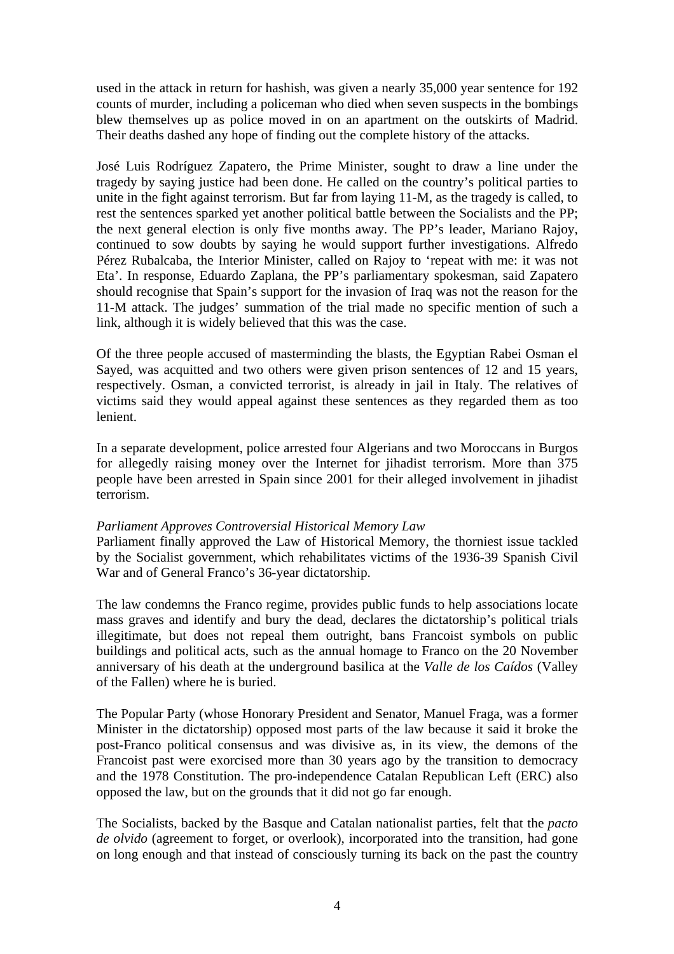used in the attack in return for hashish, was given a nearly 35,000 year sentence for 192 counts of murder, including a policeman who died when seven suspects in the bombings blew themselves up as police moved in on an apartment on the outskirts of Madrid. Their deaths dashed any hope of finding out the complete history of the attacks.

José Luis Rodríguez Zapatero, the Prime Minister, sought to draw a line under the tragedy by saying justice had been done. He called on the country's political parties to unite in the fight against terrorism. But far from laying 11-M, as the tragedy is called, to rest the sentences sparked yet another political battle between the Socialists and the PP; the next general election is only five months away. The PP's leader, Mariano Rajoy, continued to sow doubts by saying he would support further investigations. Alfredo Pérez Rubalcaba, the Interior Minister, called on Rajoy to 'repeat with me: it was not Eta'. In response, Eduardo Zaplana, the PP's parliamentary spokesman, said Zapatero should recognise that Spain's support for the invasion of Iraq was not the reason for the 11-M attack. The judges' summation of the trial made no specific mention of such a link, although it is widely believed that this was the case.

Of the three people accused of masterminding the blasts, the Egyptian Rabei Osman el Sayed, was acquitted and two others were given prison sentences of 12 and 15 years, respectively. Osman, a convicted terrorist, is already in jail in Italy. The relatives of victims said they would appeal against these sentences as they regarded them as too lenient.

In a separate development, police arrested four Algerians and two Moroccans in Burgos for allegedly raising money over the Internet for jihadist terrorism. More than 375 people have been arrested in Spain since 2001 for their alleged involvement in jihadist terrorism.

### *Parliament Approves Controversial Historical Memory Law*

Parliament finally approved the Law of Historical Memory, the thorniest issue tackled by the Socialist government, which rehabilitates victims of the 1936-39 Spanish Civil War and of General Franco's 36-year dictatorship.

The law condemns the Franco regime, provides public funds to help associations locate mass graves and identify and bury the dead, declares the dictatorship's political trials illegitimate, but does not repeal them outright, bans Francoist symbols on public buildings and political acts, such as the annual homage to Franco on the 20 November anniversary of his death at the underground basilica at the *Valle de los Caídos* (Valley of the Fallen) where he is buried.

The Popular Party (whose Honorary President and Senator, Manuel Fraga, was a former Minister in the dictatorship) opposed most parts of the law because it said it broke the post-Franco political consensus and was divisive as, in its view, the demons of the Francoist past were exorcised more than 30 years ago by the transition to democracy and the 1978 Constitution. The pro-independence Catalan Republican Left (ERC) also opposed the law, but on the grounds that it did not go far enough.

The Socialists, backed by the Basque and Catalan nationalist parties, felt that the *pacto de olvido* (agreement to forget, or overlook), incorporated into the transition, had gone on long enough and that instead of consciously turning its back on the past the country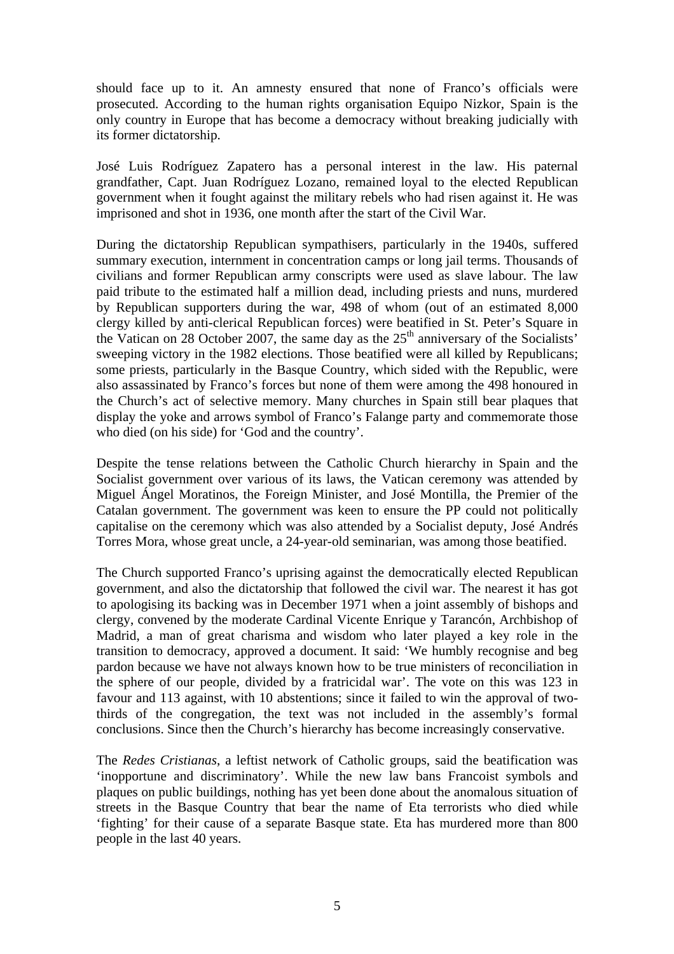should face up to it. An amnesty ensured that none of Franco's officials were prosecuted. According to the human rights organisation Equipo Nizkor, Spain is the only country in Europe that has become a democracy without breaking judicially with its former dictatorship.

José Luis Rodríguez Zapatero has a personal interest in the law. His paternal grandfather, Capt. Juan Rodríguez Lozano, remained loyal to the elected Republican government when it fought against the military rebels who had risen against it. He was imprisoned and shot in 1936, one month after the start of the Civil War.

During the dictatorship Republican sympathisers, particularly in the 1940s, suffered summary execution, internment in concentration camps or long jail terms. Thousands of civilians and former Republican army conscripts were used as slave labour. The law paid tribute to the estimated half a million dead, including priests and nuns, murdered by Republican supporters during the war, 498 of whom (out of an estimated 8,000 clergy killed by anti-clerical Republican forces) were beatified in St. Peter's Square in the Vatican on 28 October 2007, the same day as the  $25<sup>th</sup>$  anniversary of the Socialists' sweeping victory in the 1982 elections. Those beatified were all killed by Republicans; some priests, particularly in the Basque Country, which sided with the Republic, were also assassinated by Franco's forces but none of them were among the 498 honoured in the Church's act of selective memory. Many churches in Spain still bear plaques that display the yoke and arrows symbol of Franco's Falange party and commemorate those who died (on his side) for 'God and the country'.

Despite the tense relations between the Catholic Church hierarchy in Spain and the Socialist government over various of its laws, the Vatican ceremony was attended by Miguel Ángel Moratinos, the Foreign Minister, and José Montilla, the Premier of the Catalan government. The government was keen to ensure the PP could not politically capitalise on the ceremony which was also attended by a Socialist deputy, José Andrés Torres Mora, whose great uncle, a 24-year-old seminarian, was among those beatified.

The Church supported Franco's uprising against the democratically elected Republican government, and also the dictatorship that followed the civil war. The nearest it has got to apologising its backing was in December 1971 when a joint assembly of bishops and clergy, convened by the moderate Cardinal Vicente Enrique y Tarancón, Archbishop of Madrid, a man of great charisma and wisdom who later played a key role in the transition to democracy, approved a document. It said: 'We humbly recognise and beg pardon because we have not always known how to be true ministers of reconciliation in the sphere of our people, divided by a fratricidal war'. The vote on this was 123 in favour and 113 against, with 10 abstentions; since it failed to win the approval of twothirds of the congregation, the text was not included in the assembly's formal conclusions. Since then the Church's hierarchy has become increasingly conservative.

The *Redes Cristianas*, a leftist network of Catholic groups, said the beatification was 'inopportune and discriminatory'. While the new law bans Francoist symbols and plaques on public buildings, nothing has yet been done about the anomalous situation of streets in the Basque Country that bear the name of Eta terrorists who died while 'fighting' for their cause of a separate Basque state. Eta has murdered more than 800 people in the last 40 years.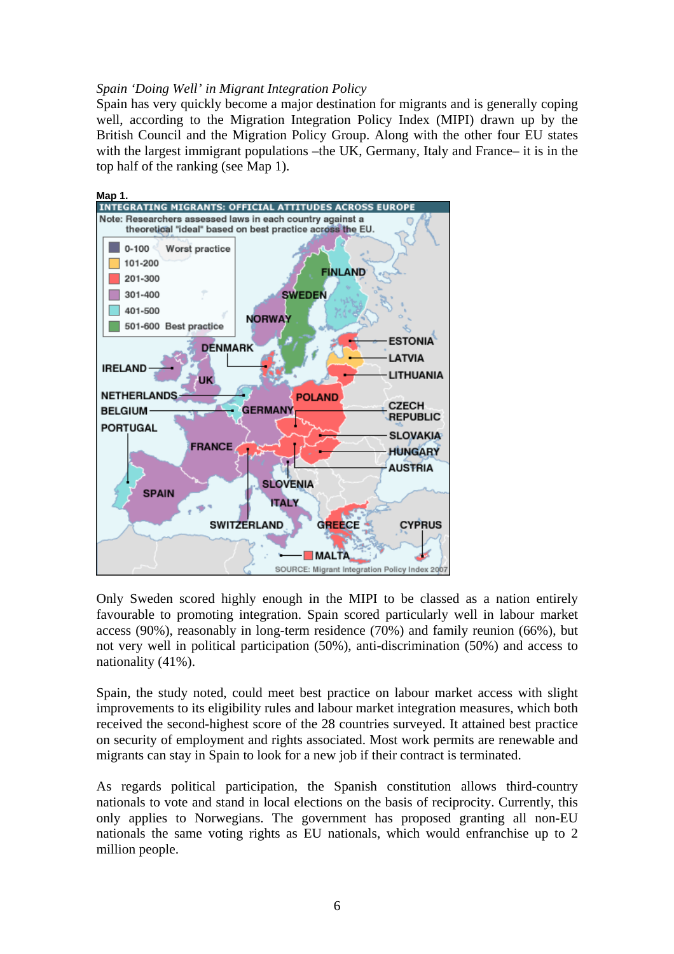# *Spain 'Doing Well' in Migrant Integration Policy*

Spain has very quickly become a major destination for migrants and is generally coping well, according to the Migration Integration Policy Index (MIPI) drawn up by the British Council and the Migration Policy Group. Along with the other four EU states with the largest immigrant populations –the UK, Germany, Italy and France– it is in the top half of the ranking (see Map 1).



Only Sweden scored highly enough in the MIPI to be classed as a nation entirely favourable to promoting integration. Spain scored particularly well in labour market access (90%), reasonably in long-term residence (70%) and family reunion (66%), but not very well in political participation (50%), anti-discrimination (50%) and access to nationality (41%).

Spain, the study noted, could meet best practice on labour market access with slight improvements to its eligibility rules and labour market integration measures, which both received the second-highest score of the 28 countries surveyed. It attained best practice on security of employment and rights associated. Most work permits are renewable and migrants can stay in Spain to look for a new job if their contract is terminated.

As regards political participation, the Spanish constitution allows third-country nationals to vote and stand in local elections on the basis of reciprocity. Currently, this only applies to Norwegians. The government has proposed granting all non-EU nationals the same voting rights as EU nationals, which would enfranchise up to 2 million people.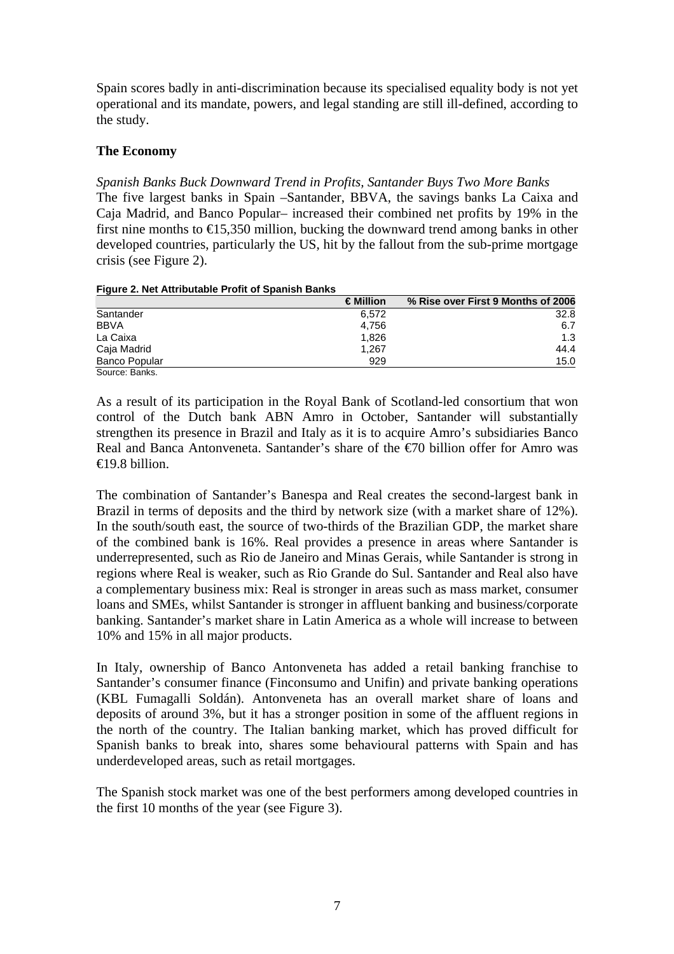Spain scores badly in anti-discrimination because its specialised equality body is not yet operational and its mandate, powers, and legal standing are still ill-defined, according to the study.

## **The Economy**

*Spanish Banks Buck Downward Trend in Profits, Santander Buys Two More Banks*  The five largest banks in Spain –Santander, BBVA, the savings banks La Caixa and Caja Madrid, and Banco Popular– increased their combined net profits by 19% in the first nine months to  $\epsilon$ 15,350 million, bucking the downward trend among banks in other developed countries, particularly the US, hit by the fallout from the sub-prime mortgage crisis (see Figure 2).

|  | Figure 2. Net Attributable Profit of Spanish Banks |  |  |
|--|----------------------------------------------------|--|--|
|  |                                                    |  |  |

|                      | $\in$ Million | % Rise over First 9 Months of 2006 |
|----------------------|---------------|------------------------------------|
| Santander            | 6.572         | 32.8                               |
| <b>BBVA</b>          | 4.756         | 6.7                                |
| La Caixa             | 1.826         | 1.3                                |
| Caja Madrid          | 1.267         | 44.4                               |
| <b>Banco Popular</b> | 929           | 15.0                               |
| Source: Banks.       |               |                                    |

As a result of its participation in the Royal Bank of Scotland-led consortium that won control of the Dutch bank ABN Amro in October, Santander will substantially strengthen its presence in Brazil and Italy as it is to acquire Amro's subsidiaries Banco Real and Banca Antonveneta. Santander's share of the €70 billion offer for Amro was  $\bigoplus$  9.8 billion.

The combination of Santander's Banespa and Real creates the second-largest bank in Brazil in terms of deposits and the third by network size (with a market share of 12%). In the south/south east, the source of two-thirds of the Brazilian GDP, the market share of the combined bank is 16%. Real provides a presence in areas where Santander is underrepresented, such as Rio de Janeiro and Minas Gerais, while Santander is strong in regions where Real is weaker, such as Rio Grande do Sul. Santander and Real also have a complementary business mix: Real is stronger in areas such as mass market, consumer loans and SMEs, whilst Santander is stronger in affluent banking and business/corporate banking. Santander's market share in Latin America as a whole will increase to between 10% and 15% in all major products.

In Italy, ownership of Banco Antonveneta has added a retail banking franchise to Santander's consumer finance (Finconsumo and Unifin) and private banking operations (KBL Fumagalli Soldán). Antonveneta has an overall market share of loans and deposits of around 3%, but it has a stronger position in some of the affluent regions in the north of the country. The Italian banking market, which has proved difficult for Spanish banks to break into, shares some behavioural patterns with Spain and has underdeveloped areas, such as retail mortgages.

The Spanish stock market was one of the best performers among developed countries in the first 10 months of the year (see Figure 3).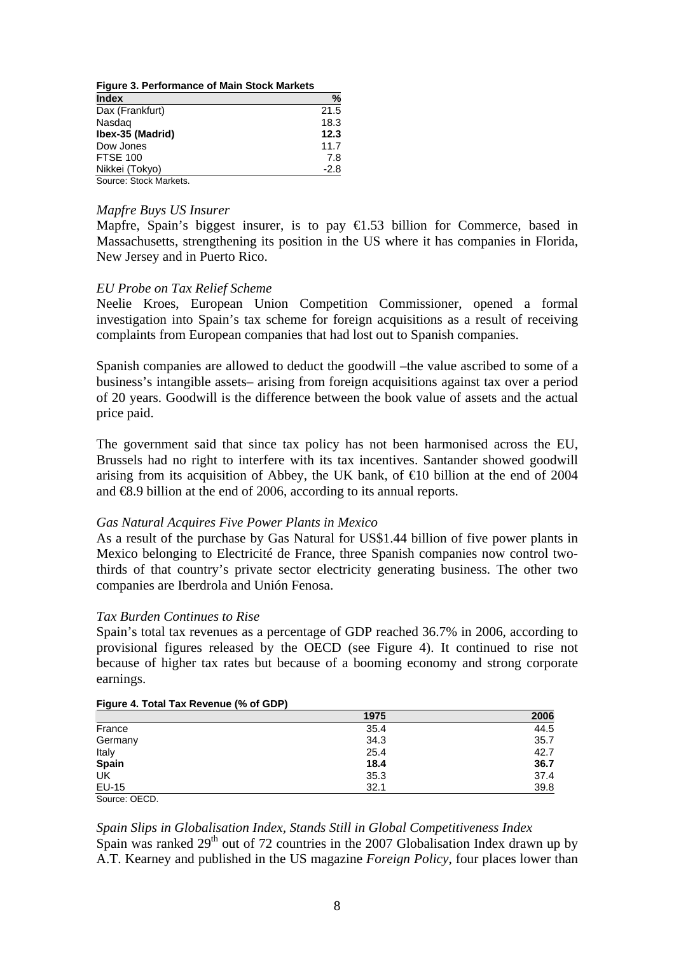| <b>Figure 3. Performance of Main Stock Markets</b> |        |  |  |  |
|----------------------------------------------------|--------|--|--|--|
| <b>Index</b>                                       | %      |  |  |  |
| Dax (Frankfurt)                                    | 21.5   |  |  |  |
| Nasdag                                             | 18.3   |  |  |  |
| Ibex-35 (Madrid)                                   | 12.3   |  |  |  |
| Dow Jones                                          | 11.7   |  |  |  |
| <b>FTSE 100</b>                                    | 7.8    |  |  |  |
| Nikkei (Tokyo)                                     | $-2.8$ |  |  |  |
| Source: Stock Markets.                             |        |  |  |  |

# *Mapfre Buys US Insurer*

Mapfre, Spain's biggest insurer, is to pay  $\bigoplus$ .53 billion for Commerce, based in Massachusetts, strengthening its position in the US where it has companies in Florida, New Jersey and in Puerto Rico.

### *EU Probe on Tax Relief Scheme*

Neelie Kroes, European Union Competition Commissioner, opened a formal investigation into Spain's tax scheme for foreign acquisitions as a result of receiving complaints from European companies that had lost out to Spanish companies.

Spanish companies are allowed to deduct the goodwill –the value ascribed to some of a business's intangible assets– arising from foreign acquisitions against tax over a period of 20 years. Goodwill is the difference between the book value of assets and the actual price paid.

The government said that since tax policy has not been harmonised across the EU, Brussels had no right to interfere with its tax incentives. Santander showed goodwill arising from its acquisition of Abbey, the UK bank, of  $\in$  0 billion at the end of 2004 and €8.9 billion at the end of 2006, according to its annual reports.

### *Gas Natural Acquires Five Power Plants in Mexico*

As a result of the purchase by Gas Natural for US\$1.44 billion of five power plants in Mexico belonging to Electricité de France, three Spanish companies now control twothirds of that country's private sector electricity generating business. The other two companies are Iberdrola and Unión Fenosa.

### *Tax Burden Continues to Rise*

Spain's total tax revenues as a percentage of GDP reached 36.7% in 2006, according to provisional figures released by the OECD (see Figure 4). It continued to rise not because of higher tax rates but because of a booming economy and strong corporate earnings.

|               | 1975 | 2006 |
|---------------|------|------|
| France        | 35.4 | 44.5 |
| Germany       | 34.3 | 35.7 |
| Italy         | 25.4 | 42.7 |
| <b>Spain</b>  | 18.4 | 36.7 |
| UK            | 35.3 | 37.4 |
| EU-15         | 32.1 | 39.8 |
| Source: OECD. |      |      |

#### **Figure 4. Total Tax Revenue (% of GDP)**

# *Spain Slips in Globalisation Index, Stands Still in Global Competitiveness Index*

Spain was ranked  $29<sup>th</sup>$  out of 72 countries in the 2007 Globalisation Index drawn up by A.T. Kearney and published in the US magazine *Foreign Policy*, four places lower than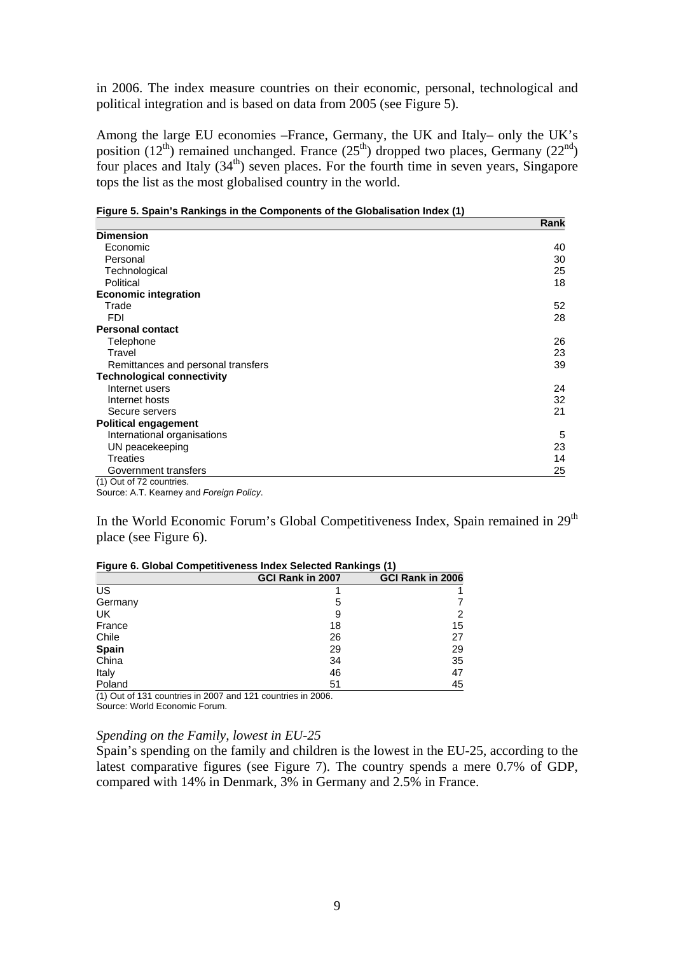in 2006. The index measure countries on their economic, personal, technological and political integration and is based on data from 2005 (see Figure 5).

Among the large EU economies –France, Germany, the UK and Italy– only the UK's position  $(12<sup>th</sup>)$  remained unchanged. France  $(25<sup>th</sup>)$  dropped two places, Germany  $(22<sup>nd</sup>)$ four places and Italy  $(34<sup>th</sup>)$  seven places. For the fourth time in seven years, Singapore tops the list as the most globalised country in the world.

|                                    | Rank |
|------------------------------------|------|
| <b>Dimension</b>                   |      |
| Economic                           | 40   |
| Personal                           | 30   |
| Technological                      | 25   |
| Political                          | 18   |
| <b>Economic integration</b>        |      |
| Trade                              | 52   |
| <b>FDI</b>                         | 28   |
| <b>Personal contact</b>            |      |
| Telephone                          | 26   |
| Travel                             | 23   |
| Remittances and personal transfers | 39   |
| <b>Technological connectivity</b>  |      |
| Internet users                     | 24   |
| Internet hosts                     | 32   |
| Secure servers                     | 21   |
| <b>Political engagement</b>        |      |
| International organisations        | 5    |
| UN peacekeeping                    | 23   |
| Treaties                           | 14   |
| Government transfers               | 25   |
| (1) Out of 72 countries.           |      |

|  | Figure 5. Spain's Rankings in the Components of the Globalisation Index (1) |  |  |  |  |  |
|--|-----------------------------------------------------------------------------|--|--|--|--|--|
|  |                                                                             |  |  |  |  |  |

Source: A.T. Kearney and *Foreign Policy*.

In the World Economic Forum's Global Competitiveness Index, Spain remained in 29<sup>th</sup> place (see Figure 6).

| Figure 6. Global Competitiveness Index Selected Rankings (1) |                  |                  |  |  |
|--------------------------------------------------------------|------------------|------------------|--|--|
|                                                              | GCI Rank in 2007 | GCI Rank in 2006 |  |  |
| US                                                           |                  |                  |  |  |
| Germany                                                      | 5                |                  |  |  |
| UK.                                                          | 9                | 2                |  |  |
| France                                                       | 18               | 15               |  |  |
| Chile                                                        | 26               | 27               |  |  |
| <b>Spain</b>                                                 | 29               | 29               |  |  |
| China                                                        | 34               | 35               |  |  |
| Italy                                                        | 46               | 47               |  |  |
| Poland                                                       | 51               | 45               |  |  |

#### **Figure 6. Global Competitiveness Index Selected Rankings (1)**

(1) Out of 131 countries in 2007 and 121 countries in 2006. Source: World Economic Forum.

#### *Spending on the Family, lowest in EU-25*

Spain's spending on the family and children is the lowest in the EU-25, according to the latest comparative figures (see Figure 7). The country spends a mere 0.7% of GDP, compared with 14% in Denmark, 3% in Germany and 2.5% in France.